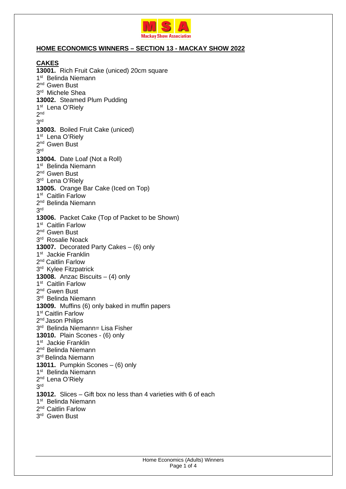

## **HOME ECONOMICS WINNERS – SECTION 13 - MACKAY SHOW 2022**

**CAKES 13001.** Rich Fruit Cake (uniced) 20cm square 1<sup>st</sup> Belinda Niemann 2<sup>nd</sup> Gwen Bust 3<sup>rd</sup> Michele Shea **13002.** Steamed Plum Pudding 1<sup>st</sup> Lena O'Riely  $2^{\text{nd}}$ 3 rd **13003.** Boiled Fruit Cake (uniced) 1<sup>st</sup> Lena O'Riely 2<sup>nd</sup> Gwen Bust 3 rd **13004.** Date Loaf (Not a Roll) 1<sup>st</sup> Belinda Niemann 2<sup>nd</sup> Gwen Bust 3<sup>rd</sup> Lena O'Riely **13005.** Orange Bar Cake (Iced on Top) 1<sup>st</sup> Caitlin Farlow 2<sup>nd</sup> Belinda Niemann 3 rd **13006.** Packet Cake (Top of Packet to be Shown) 1<sup>st</sup> Caitlin Farlow 2<sup>nd</sup> Gwen Bust 3 rd Rosalie Noack **13007.** Decorated Party Cakes – (6) only 1<sup>st</sup> Jackie Franklin 2<sup>nd</sup> Caitlin Farlow 3<sup>rd</sup> Kylee Fitzpatrick **13008.** Anzac Biscuits – (4) only 1<sup>st</sup> Caitlin Farlow 2<sup>nd</sup> Gwen Bust 3 rd Belinda Niemann **13009.** Muffins (6) only baked in muffin papers 1<sup>st</sup> Caitlin Farlow 2<sup>nd</sup> Jason Philips 3 rd Belinda Niemann= Lisa Fisher **13010.** Plain Scones - (6) only 1<sup>st</sup> Jackie Franklin 2<sup>nd</sup> Belinda Niemann 3<sup>rd</sup> Belinda Niemann **13011.** Pumpkin Scones – (6) only 1<sup>st</sup> Belinda Niemann 2<sup>nd</sup> Lena O'Riely 3 rd **13012.** Slices – Gift box no less than 4 varieties with 6 of each 1<sup>st</sup> Belinda Niemann 2<sup>nd</sup> Caitlin Farlow 3 rd Gwen Bust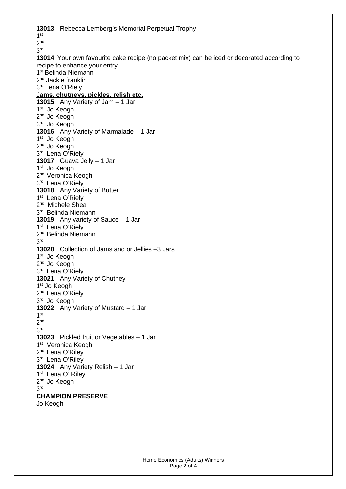**13013.** Rebecca Lemberg's Memorial Perpetual Trophy 1 st  $2<sup>nd</sup>$ 3 rd **13014.** Your own favourite cake recipe (no packet mix) can be iced or decorated according to recipe to enhance your entry 1<sup>st</sup> Belinda Niemann 2<sup>nd</sup> Jackie franklin 3<sup>rd</sup> Lena O'Riely **Jams, chutneys, pickles, relish etc. 13015.** Any Variety of Jam – 1 Jar 1<sup>st</sup> Jo Keogh 2<sup>nd</sup> Jo Keogh 3<sup>rd</sup> Jo Keogh **13016.** Any Variety of Marmalade – 1 Jar 1<sup>st</sup> Jo Keogh 2<sup>nd</sup> Jo Keogh 3<sup>rd</sup> Lena O'Riely **13017.** Guava Jelly – 1 Jar 1<sup>st</sup> Jo Keogh 2<sup>nd</sup> Veronica Keogh 3<sup>rd</sup> Lena O'Riely **13018.** Any Variety of Butter 1<sup>st</sup> Lena O'Riely 2<sup>nd</sup> Michele Shea 3 rd Belinda Niemann **13019.** Any variety of Sauce – 1 Jar 1<sup>st</sup> Lena O'Riely 2<sup>nd</sup> Belinda Niemann 3 rd **13020.** Collection of Jams and or Jellies –3 Jars 1<sup>st</sup> Jo Keogh 2<sup>nd</sup> Jo Keogh 3<sup>rd</sup> Lena O'Riely **13021.** Any Variety of Chutney 1<sup>st</sup> Jo Keogh 2<sup>nd</sup> Lena O'Riely 3 rd Jo Keogh **13022.** Any Variety of Mustard – 1 Jar 1 st 2 nd 3 rd **13023.** Pickled fruit or Vegetables – 1 Jar 1<sup>st</sup> Veronica Keogh 2<sup>nd</sup> Lena O'Riley 3<sup>rd</sup> Lena O'Riley **13024.** Any Variety Relish – 1 Jar 1<sup>st</sup> Lena O' Riley 2<sup>nd</sup> Jo Keogh 3 rd **CHAMPION PRESERVE**  Jo Keogh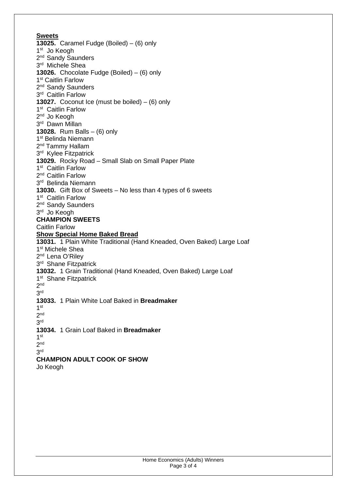## **Sweets**

**13025.** Caramel Fudge (Boiled) – (6) only 1<sup>st</sup> Jo Keogh 2<sup>nd</sup> Sandy Saunders 3 rd Michele Shea **13026.** Chocolate Fudge (Boiled) – (6) only 1<sup>st</sup> Caitlin Farlow 2<sup>nd</sup> Sandy Saunders 3<sup>rd</sup> Caitlin Farlow **13027.** Coconut Ice (must be boiled) – (6) only 1<sup>st</sup> Caitlin Farlow 2<sup>nd</sup> Jo Keogh 3<sup>rd</sup> Dawn Millan **13028.** Rum Balls – (6) only 1<sup>st</sup> Belinda Niemann 2<sup>nd</sup> Tammy Hallam 3<sup>rd</sup> Kylee Fitzpatrick **13029.** Rocky Road – Small Slab on Small Paper Plate 1<sup>st</sup> Caitlin Farlow 2<sup>nd</sup> Caitlin Farlow 3 rd Belinda Niemann **13030.** Gift Box of Sweets – No less than 4 types of 6 sweets 1<sup>st</sup> Caitlin Farlow 2<sup>nd</sup> Sandy Saunders 3 rd Jo Keogh **CHAMPION SWEETS**  Caitlin Farlow **Show Special Home Baked Bread 13031.** 1 Plain White Traditional (Hand Kneaded, Oven Baked) Large Loaf 1 st Michele Shea 2<sup>nd</sup> Lena O'Riley 3<sup>rd</sup> Shane Fitzpatrick **13032.** 1 Grain Traditional (Hand Kneaded, Oven Baked) Large Loaf 1<sup>st</sup> Shane Fitzpatrick  $2^{\text{nd}}$ 3 rd **13033.** 1 Plain White Loaf Baked in **Breadmaker** 1 st 2 nd 3 rd **13034.** 1 Grain Loaf Baked in **Breadmaker** 1 st  $2^{\text{nd}}$ 3 rd **CHAMPION ADULT COOK OF SHOW** 

Jo Keogh